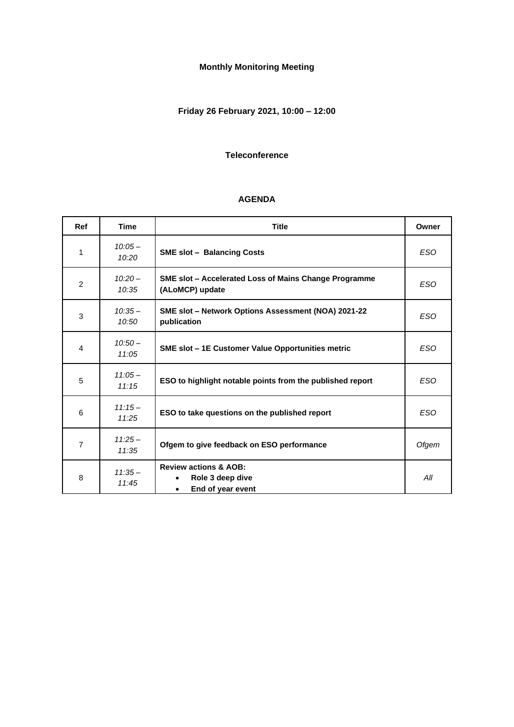## **Monthly Monitoring Meeting**

## **Friday 26 February 2021, 10:00 – 12:00**

#### **Teleconference**

#### **AGENDA**

| <b>Ref</b>     | <b>Time</b>        | <b>Title</b>                                                                           | Owner      |
|----------------|--------------------|----------------------------------------------------------------------------------------|------------|
| 1              | $10:05 -$<br>10:20 | <b>SME slot - Balancing Costs</b>                                                      | <b>ESO</b> |
| $\overline{2}$ | $10:20 -$<br>10:35 | SME slot - Accelerated Loss of Mains Change Programme<br>(ALoMCP) update               | <b>ESO</b> |
| 3              | $10:35-$<br>10:50  | SME slot - Network Options Assessment (NOA) 2021-22<br>publication                     | <b>ESO</b> |
| 4              | $10:50-$<br>11:05  | <b>SME slot - 1E Customer Value Opportunities metric</b>                               | <b>ESO</b> |
| 5              | $11:05-$<br>11:15  | ESO to highlight notable points from the published report                              | <b>ESO</b> |
| 6              | $11:15-$<br>11:25  | ESO to take questions on the published report                                          | <b>ESO</b> |
| $\overline{7}$ | $11:25-$<br>11:35  | Ofgem to give feedback on ESO performance                                              | Ofgem      |
| 8              | $11:35-$<br>11:45  | <b>Review actions &amp; AOB:</b><br>Role 3 deep dive<br>End of year event<br>$\bullet$ | All        |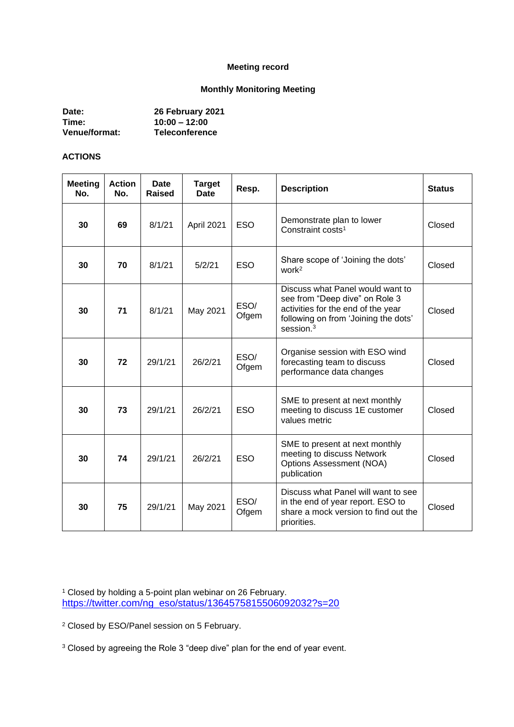#### **Meeting record**

### **Monthly Monitoring Meeting**

| Date:                | 26 February 2021      |
|----------------------|-----------------------|
| Time:                | $10:00 - 12:00$       |
| <b>Venue/format:</b> | <b>Teleconference</b> |

### **ACTIONS**

| <b>Meeting</b><br>No. | <b>Action</b><br>No. | <b>Date</b><br>Raised | <b>Target</b><br>Date | Resp.         | <b>Description</b>                                                                                                                                               | <b>Status</b> |
|-----------------------|----------------------|-----------------------|-----------------------|---------------|------------------------------------------------------------------------------------------------------------------------------------------------------------------|---------------|
| 30                    | 69                   | 8/1/21                | April 2021            | <b>ESO</b>    | Demonstrate plan to lower<br>Constraint costs <sup>1</sup>                                                                                                       | Closed        |
| 30                    | 70                   | 8/1/21                | 5/2/21                | <b>ESO</b>    | Share scope of 'Joining the dots'<br>work <sup>2</sup>                                                                                                           | Closed        |
| 30                    | 71                   | 8/1/21                | May 2021              | ESO/<br>Ofgem | Discuss what Panel would want to<br>see from "Deep dive" on Role 3<br>activities for the end of the year<br>following on from 'Joining the dots'<br>session. $3$ | Closed        |
| 30                    | 72                   | 29/1/21               | 26/2/21               | ESO/<br>Ofgem | Organise session with ESO wind<br>forecasting team to discuss<br>performance data changes                                                                        | Closed        |
| 30                    | 73                   | 29/1/21               | 26/2/21               | <b>ESO</b>    | SME to present at next monthly<br>meeting to discuss 1E customer<br>values metric                                                                                | Closed        |
| 30                    | 74                   | 29/1/21               | 26/2/21               | <b>ESO</b>    | SME to present at next monthly<br>meeting to discuss Network<br>Options Assessment (NOA)<br>publication                                                          | Closed        |
| 30                    | 75                   | 29/1/21               | May 2021              | ESO/<br>Ofgem | Discuss what Panel will want to see<br>in the end of year report. ESO to<br>share a mock version to find out the<br>priorities.                                  | Closed        |

<sup>1</sup> Closed by holding a 5-point plan webinar on 26 February. [https://twitter.com/ng\\_eso/status/1364575815506092032?s=20](https://twitter.com/ng_eso/status/1364575815506092032?s=20)

<sup>2</sup> Closed by ESO/Panel session on 5 February.

<sup>3</sup> Closed by agreeing the Role 3 "deep dive" plan for the end of year event.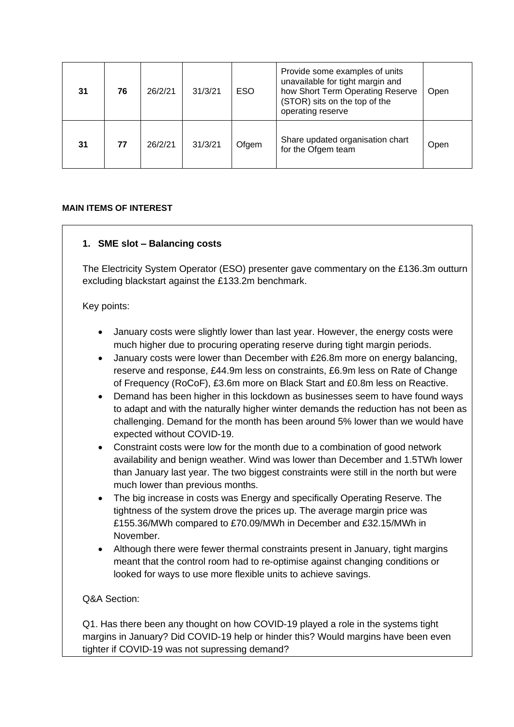| 31 | 76 | 26/2/21 | 31/3/21 | <b>ESO</b> | Provide some examples of units<br>unavailable for tight margin and<br>how Short Term Operating Reserve<br>(STOR) sits on the top of the<br>operating reserve | Open |
|----|----|---------|---------|------------|--------------------------------------------------------------------------------------------------------------------------------------------------------------|------|
| 31 | 77 | 26/2/21 | 31/3/21 | Ofgem      | Share updated organisation chart<br>for the Ofgem team                                                                                                       | Open |

#### **MAIN ITEMS OF INTEREST**

### **1. SME slot – Balancing costs**

The Electricity System Operator (ESO) presenter gave commentary on the £136.3m outturn excluding blackstart against the £133.2m benchmark.

#### Key points:

- January costs were slightly lower than last year. However, the energy costs were much higher due to procuring operating reserve during tight margin periods.
- January costs were lower than December with £26.8m more on energy balancing, reserve and response, £44.9m less on constraints, £6.9m less on Rate of Change of Frequency (RoCoF), £3.6m more on Black Start and £0.8m less on Reactive.
- Demand has been higher in this lockdown as businesses seem to have found ways to adapt and with the naturally higher winter demands the reduction has not been as challenging. Demand for the month has been around 5% lower than we would have expected without COVID-19.
- Constraint costs were low for the month due to a combination of good network availability and benign weather. Wind was lower than December and 1.5TWh lower than January last year. The two biggest constraints were still in the north but were much lower than previous months.
- The big increase in costs was Energy and specifically Operating Reserve. The tightness of the system drove the prices up. The average margin price was £155.36/MWh compared to £70.09/MWh in December and £32.15/MWh in November.
- Although there were fewer thermal constraints present in January, tight margins meant that the control room had to re-optimise against changing conditions or looked for ways to use more flexible units to achieve savings.

### Q&A Section:

Q1. Has there been any thought on how COVID-19 played a role in the systems tight margins in January? Did COVID-19 help or hinder this? Would margins have been even tighter if COVID-19 was not supressing demand?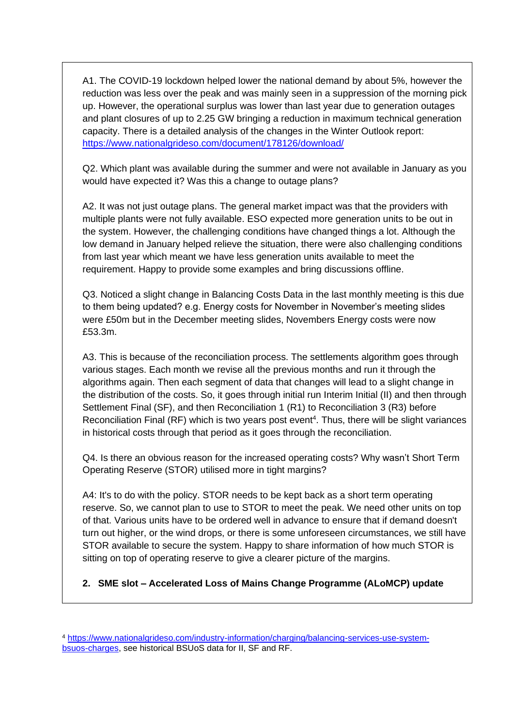A1. The COVID-19 lockdown helped lower the national demand by about 5%, however the reduction was less over the peak and was mainly seen in a suppression of the morning pick up. However, the operational surplus was lower than last year due to generation outages and plant closures of up to 2.25 GW bringing a reduction in maximum technical generation capacity. There is a detailed analysis of the changes in the Winter Outlook report: <https://www.nationalgrideso.com/document/178126/download/>

Q2. Which plant was available during the summer and were not available in January as you would have expected it? Was this a change to outage plans?

A2. It was not just outage plans. The general market impact was that the providers with multiple plants were not fully available. ESO expected more generation units to be out in the system. However, the challenging conditions have changed things a lot. Although the low demand in January helped relieve the situation, there were also challenging conditions from last year which meant we have less generation units available to meet the requirement. Happy to provide some examples and bring discussions offline.

Q3. Noticed a slight change in Balancing Costs Data in the last monthly meeting is this due to them being updated? e.g. Energy costs for November in November's meeting slides were £50m but in the December meeting slides, Novembers Energy costs were now £53.3m.

A3. This is because of the reconciliation process. The settlements algorithm goes through various stages. Each month we revise all the previous months and run it through the algorithms again. Then each segment of data that changes will lead to a slight change in the distribution of the costs. So, it goes through initial run Interim Initial (II) and then through Settlement Final (SF), and then Reconciliation 1 (R1) to Reconciliation 3 (R3) before Reconciliation Final (RF) which is two years post event<sup>4</sup>. Thus, there will be slight variances in historical costs through that period as it goes through the reconciliation.

Q4. Is there an obvious reason for the increased operating costs? Why wasn't Short Term Operating Reserve (STOR) utilised more in tight margins?

A4: It's to do with the policy. STOR needs to be kept back as a short term operating reserve. So, we cannot plan to use to STOR to meet the peak. We need other units on top of that. Various units have to be ordered well in advance to ensure that if demand doesn't turn out higher, or the wind drops, or there is some unforeseen circumstances, we still have STOR available to secure the system. Happy to share information of how much STOR is sitting on top of operating reserve to give a clearer picture of the margins.

**2. SME slot – Accelerated Loss of Mains Change Programme (ALoMCP) update**

<sup>4</sup> [https://www.nationalgrideso.com/industry-information/charging/balancing-services-use-system](https://www.nationalgrideso.com/industry-information/charging/balancing-services-use-system-bsuos-charges)[bsuos-charges,](https://www.nationalgrideso.com/industry-information/charging/balancing-services-use-system-bsuos-charges) see historical BSUoS data for II, SF and RF.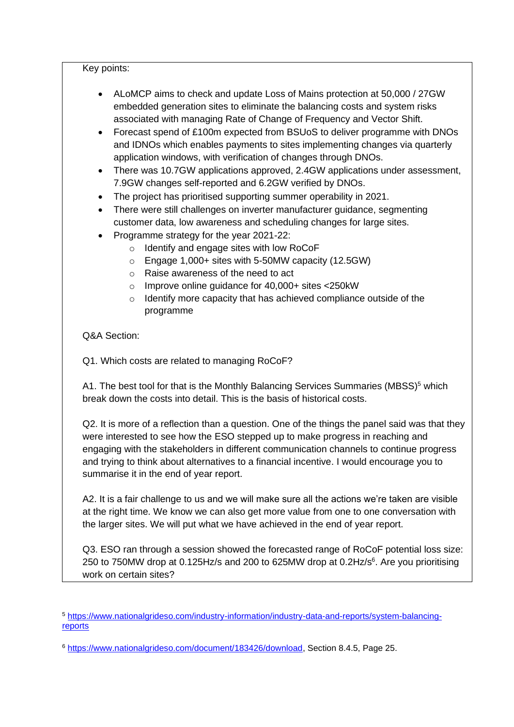#### Key points:

- ALoMCP aims to check and update Loss of Mains protection at 50,000 / 27GW embedded generation sites to eliminate the balancing costs and system risks associated with managing Rate of Change of Frequency and Vector Shift.
- Forecast spend of £100m expected from BSUoS to deliver programme with DNOs and IDNOs which enables payments to sites implementing changes via quarterly application windows, with verification of changes through DNOs.
- There was 10.7GW applications approved, 2.4GW applications under assessment, 7.9GW changes self-reported and 6.2GW verified by DNOs.
- The project has prioritised supporting summer operability in 2021.
- There were still challenges on inverter manufacturer guidance, segmenting customer data, low awareness and scheduling changes for large sites.
- Programme strategy for the year 2021-22:
	- o Identify and engage sites with low RoCoF
	- o Engage 1,000+ sites with 5-50MW capacity (12.5GW)
	- o Raise awareness of the need to act
	- o Improve online guidance for 40,000+ sites <250kW
	- o Identify more capacity that has achieved compliance outside of the programme

### Q&A Section:

Q1. Which costs are related to managing RoCoF?

A1. The best tool for that is the Monthly Balancing Services Summaries (MBSS)<sup>5</sup> which break down the costs into detail. This is the basis of historical costs.

Q2. It is more of a reflection than a question. One of the things the panel said was that they were interested to see how the ESO stepped up to make progress in reaching and engaging with the stakeholders in different communication channels to continue progress and trying to think about alternatives to a financial incentive. I would encourage you to summarise it in the end of year report.

A2. It is a fair challenge to us and we will make sure all the actions we're taken are visible at the right time. We know we can also get more value from one to one conversation with the larger sites. We will put what we have achieved in the end of year report.

Q3. ESO ran through a session showed the forecasted range of RoCoF potential loss size: 250 to 750MW drop at 0.125Hz/s and 200 to 625MW drop at 0.2Hz/s $6$ . Are you prioritising work on certain sites?

<sup>5</sup> [https://www.nationalgrideso.com/industry-information/industry-data-and-reports/system-balancing](https://www.nationalgrideso.com/industry-information/industry-data-and-reports/system-balancing-reports)[reports](https://www.nationalgrideso.com/industry-information/industry-data-and-reports/system-balancing-reports)

<sup>6</sup> [https://www.nationalgrideso.com/document/183426/download,](https://www.nationalgrideso.com/document/183426/download) Section 8.4.5, Page 25.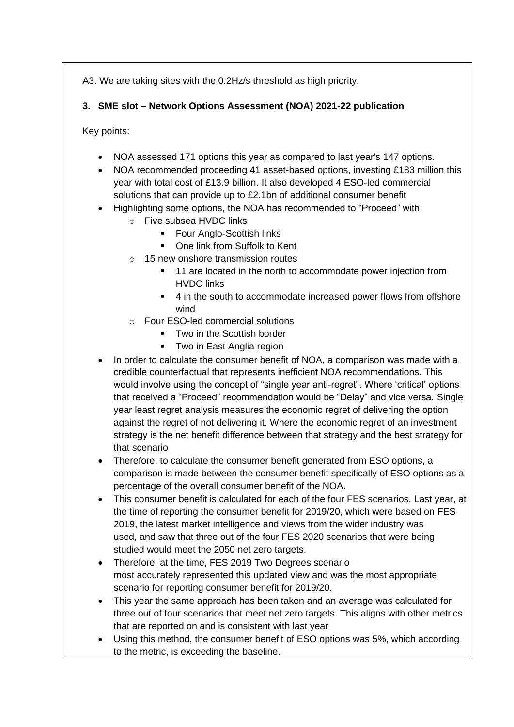A3. We are taking sites with the 0.2Hz/s threshold as high priority.

## **3. SME slot – Network Options Assessment (NOA) 2021-22 publication**

Key points:

- NOA assessed 171 options this year as compared to last year's 147 options.
- NOA recommended proceeding 41 asset-based options, investing £183 million this year with total cost of £13.9 billion. It also developed 4 ESO-led commercial solutions that can provide up to £2.1bn of additional consumer benefit
- Highlighting some options, the NOA has recommended to "Proceed" with:
	- o Five subsea HVDC links
		- Four Anglo-Scottish links
		- One link from Suffolk to Kent
	- o 15 new onshore transmission routes
		- 11 are located in the north to accommodate power injection from HVDC links
		- 4 in the south to accommodate increased power flows from offshore wind
	- o Four ESO-led commercial solutions
		- Two in the Scottish border
		- Two in East Anglia region
- In order to calculate the consumer benefit of NOA, a comparison was made with a credible counterfactual that represents inefficient NOA recommendations. This would involve using the concept of "single year anti-regret". Where 'critical' options that received a "Proceed" recommendation would be "Delay" and vice versa. Single year least regret analysis measures the economic regret of delivering the option against the regret of not delivering it. Where the economic regret of an investment strategy is the net benefit difference between that strategy and the best strategy for that scenario
- Therefore, to calculate the consumer benefit generated from ESO options, a comparison is made between the consumer benefit specifically of ESO options as a percentage of the overall consumer benefit of the NOA.
- This consumer benefit is calculated for each of the four FES scenarios. Last year, at the time of reporting the consumer benefit for 2019/20, which were based on FES 2019, the latest market intelligence and views from the wider industry was used, and saw that three out of the four FES 2020 scenarios that were being studied would meet the 2050 net zero targets.
- Therefore, at the time, FES 2019 Two Degrees scenario most accurately represented this updated view and was the most appropriate scenario for reporting consumer benefit for 2019/20.
- This year the same approach has been taken and an average was calculated for three out of four scenarios that meet net zero targets. This aligns with other metrics that are reported on and is consistent with last year
- Using this method, the consumer benefit of ESO options was 5%, which according to the metric, is exceeding the baseline.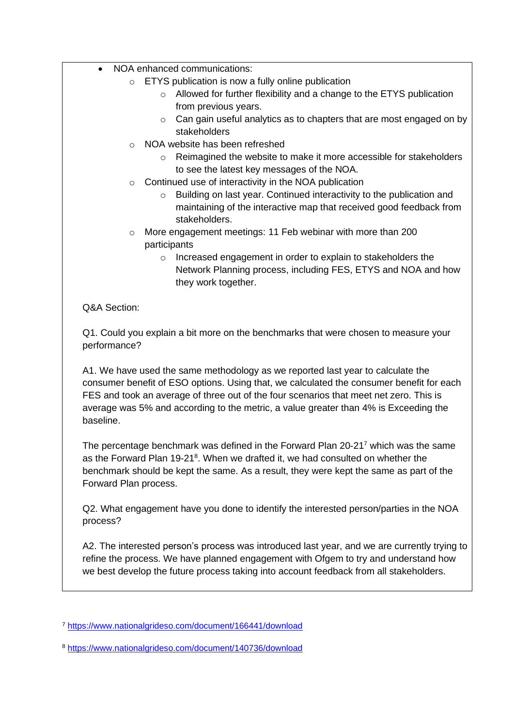- NOA enhanced communications:
	- o ETYS publication is now a fully online publication
		- o Allowed for further flexibility and a change to the ETYS publication from previous years.
		- o Can gain useful analytics as to chapters that are most engaged on by stakeholders
	- o NOA website has been refreshed
		- o Reimagined the website to make it more accessible for stakeholders to see the latest key messages of the NOA.
	- o Continued use of interactivity in the NOA publication
		- o Building on last year. Continued interactivity to the publication and maintaining of the interactive map that received good feedback from stakeholders.
	- o More engagement meetings: 11 Feb webinar with more than 200 participants
		- o Increased engagement in order to explain to stakeholders the Network Planning process, including FES, ETYS and NOA and how they work together.

Q&A Section:

Q1. Could you explain a bit more on the benchmarks that were chosen to measure your performance?

A1. We have used the same methodology as we reported last year to calculate the consumer benefit of ESO options. Using that, we calculated the consumer benefit for each FES and took an average of three out of the four scenarios that meet net zero. This is average was 5% and according to the metric, a value greater than 4% is Exceeding the baseline.

The percentage benchmark was defined in the Forward Plan 20-21<sup>7</sup> which was the same as the Forward Plan 19-21<sup>8</sup>. When we drafted it, we had consulted on whether the benchmark should be kept the same. As a result, they were kept the same as part of the Forward Plan process.

Q2. What engagement have you done to identify the interested person/parties in the NOA process?

A2. The interested person's process was introduced last year, and we are currently trying to refine the process. We have planned engagement with Ofgem to try and understand how we best develop the future process taking into account feedback from all stakeholders.

<sup>7</sup> <https://www.nationalgrideso.com/document/166441/download>

<sup>8</sup> <https://www.nationalgrideso.com/document/140736/download>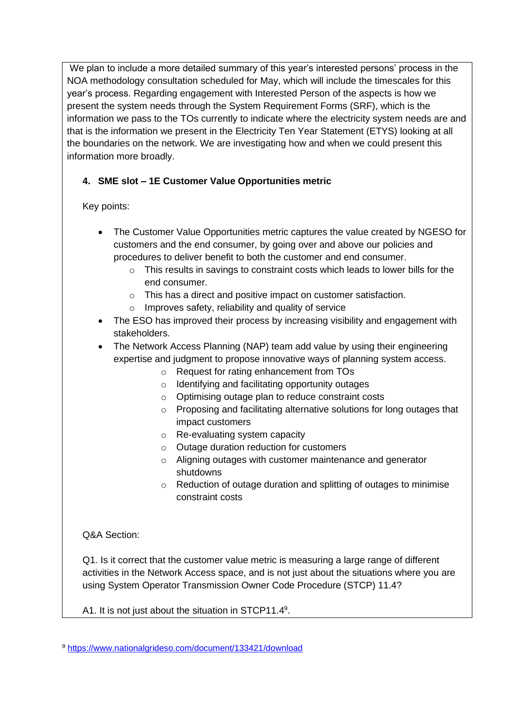We plan to include a more detailed summary of this year's interested persons' process in the NOA methodology consultation scheduled for May, which will include the timescales for this year's process. Regarding engagement with Interested Person of the aspects is how we present the system needs through the System Requirement Forms (SRF), which is the information we pass to the TOs currently to indicate where the electricity system needs are and that is the information we present in the Electricity Ten Year Statement (ETYS) looking at all the boundaries on the network. We are investigating how and when we could present this information more broadly.

# **4. SME slot – 1E Customer Value Opportunities metric**

Key points:

- The Customer Value Opportunities metric captures the value created by NGESO for customers and the end consumer, by going over and above our policies and procedures to deliver benefit to both the customer and end consumer.
	- $\circ$  This results in savings to constraint costs which leads to lower bills for the end consumer.
	- o This has a direct and positive impact on customer satisfaction.
	- o Improves safety, reliability and quality of service
- The ESO has improved their process by increasing visibility and engagement with stakeholders.
- The Network Access Planning (NAP) team add value by using their engineering expertise and judgment to propose innovative ways of planning system access.
	- o Request for rating enhancement from TOs
	- o Identifying and facilitating opportunity outages
	- o Optimising outage plan to reduce constraint costs
	- o Proposing and facilitating alternative solutions for long outages that impact customers
	- o Re-evaluating system capacity
	- o Outage duration reduction for customers
	- o Aligning outages with customer maintenance and generator shutdowns
	- o Reduction of outage duration and splitting of outages to minimise constraint costs

Q&A Section:

Q1. Is it correct that the customer value metric is measuring a large range of different activities in the Network Access space, and is not just about the situations where you are using System Operator Transmission Owner Code Procedure (STCP) 11.4?

A1. It is not just about the situation in STCP11.4<sup>9</sup>.

<sup>9</sup> <https://www.nationalgrideso.com/document/133421/download>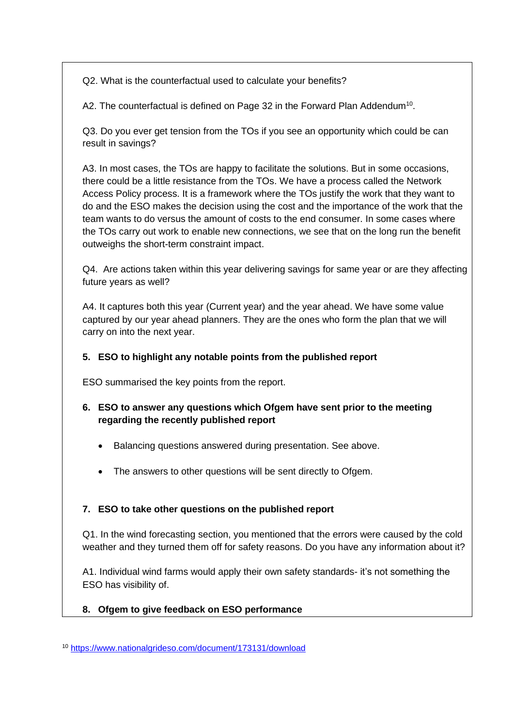Q2. What is the counterfactual used to calculate your benefits?

A2. The counterfactual is defined on Page 32 in the Forward Plan Addendum<sup>10</sup>.

Q3. Do you ever get tension from the TOs if you see an opportunity which could be can result in savings?

A3. In most cases, the TOs are happy to facilitate the solutions. But in some occasions, there could be a little resistance from the TOs. We have a process called the Network Access Policy process. It is a framework where the TOs justify the work that they want to do and the ESO makes the decision using the cost and the importance of the work that the team wants to do versus the amount of costs to the end consumer. In some cases where the TOs carry out work to enable new connections, we see that on the long run the benefit outweighs the short-term constraint impact.

Q4. Are actions taken within this year delivering savings for same year or are they affecting future years as well?

A4. It captures both this year (Current year) and the year ahead. We have some value captured by our year ahead planners. They are the ones who form the plan that we will carry on into the next year.

### **5. ESO to highlight any notable points from the published report**

ESO summarised the key points from the report.

## **6. ESO to answer any questions which Ofgem have sent prior to the meeting regarding the recently published report**

- Balancing questions answered during presentation. See above.
- The answers to other questions will be sent directly to Ofgem.

## **7. ESO to take other questions on the published report**

Q1. In the wind forecasting section, you mentioned that the errors were caused by the cold weather and they turned them off for safety reasons. Do you have any information about it?

A1. Individual wind farms would apply their own safety standards- it's not something the ESO has visibility of.

## **8. Ofgem to give feedback on ESO performance**

<sup>10</sup> <https://www.nationalgrideso.com/document/173131/download>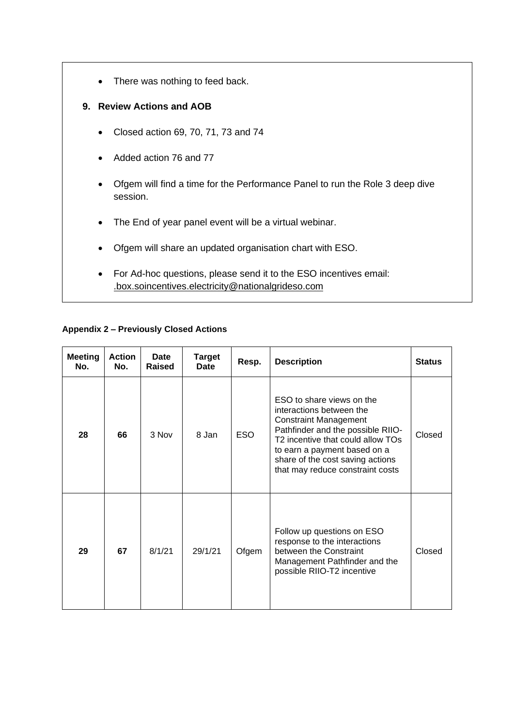• There was nothing to feed back.

### **9. Review Actions and AOB**

- Closed action 69, 70, 71, 73 and 74
- Added action 76 and 77
- Ofgem will find a time for the Performance Panel to run the Role 3 deep dive session.
- The End of year panel event will be a virtual webinar.
- Ofgem will share an updated organisation chart with ESO.
- For Ad-hoc questions, please send it to the ESO incentives email: .box.soincentives.electricity@nationalgrideso.com

#### **Appendix 2 – Previously Closed Actions**

| <b>Meeting</b><br>No. | <b>Action</b><br>No. | <b>Date</b><br>Raised | <b>Target</b><br><b>Date</b> | Resp.      | <b>Description</b>                                                                                                                                                                                                                                                      | <b>Status</b> |
|-----------------------|----------------------|-----------------------|------------------------------|------------|-------------------------------------------------------------------------------------------------------------------------------------------------------------------------------------------------------------------------------------------------------------------------|---------------|
| 28                    | 66                   | 3 Nov                 | 8 Jan                        | <b>ESO</b> | ESO to share views on the<br>interactions between the<br><b>Constraint Management</b><br>Pathfinder and the possible RIIO-<br>T2 incentive that could allow TOs<br>to earn a payment based on a<br>share of the cost saving actions<br>that may reduce constraint costs | Closed        |
| 29                    | 67                   | 8/1/21                | 29/1/21                      | Ofgem      | Follow up questions on ESO<br>response to the interactions<br>between the Constraint<br>Management Pathfinder and the<br>possible RIIO-T2 incentive                                                                                                                     | Closed        |